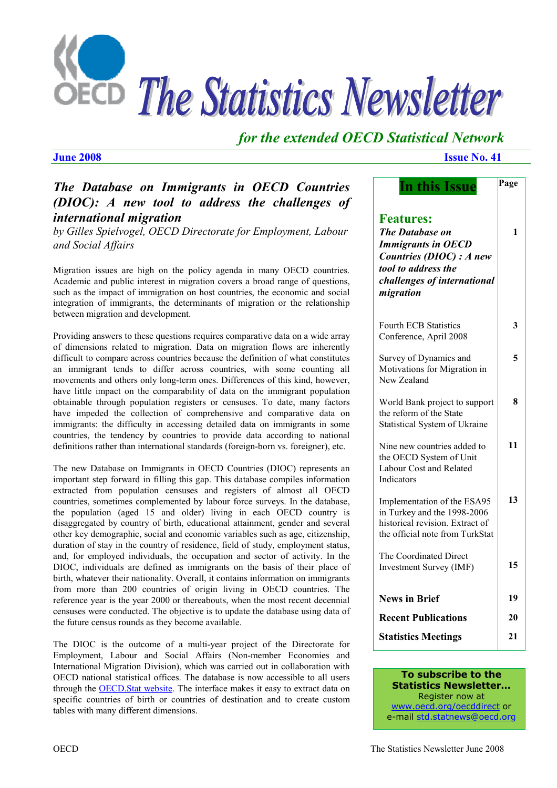

# *for the extended OECD Statistical Network*

## *The Database on Immigrants in OECD Countries (DIOC): A new tool to address the challenges of international migration*

*by Gilles Spielvogel, OECD Directorate for Employment, Labour and Social Affairs* 

Migration issues are high on the policy agenda in many OECD countries. Academic and public interest in migration covers a broad range of questions, such as the impact of immigration on host countries, the economic and social integration of immigrants, the determinants of migration or the relationship between migration and development.

Providing answers to these questions requires comparative data on a wide array of dimensions related to migration. Data on migration flows are inherently difficult to compare across countries because the definition of what constitutes an immigrant tends to differ across countries, with some counting all movements and others only long-term ones. Differences of this kind, however, have little impact on the comparability of data on the immigrant population obtainable through population registers or censuses. To date, many factors have impeded the collection of comprehensive and comparative data on immigrants: the difficulty in accessing detailed data on immigrants in some countries, the tendency by countries to provide data according to national definitions rather than international standards (foreign-born vs. foreigner), etc.

The new Database on Immigrants in OECD Countries (DIOC) represents an important step forward in filling this gap. This database compiles information extracted from population censuses and registers of almost all OECD countries, sometimes complemented by labour force surveys. In the database, the population (aged 15 and older) living in each OECD country is disaggregated by country of birth, educational attainment, gender and several other key demographic, social and economic variables such as age, citizenship, duration of stay in the country of residence, field of study, employment status, and, for employed individuals, the occupation and sector of activity. In the DIOC, individuals are defined as immigrants on the basis of their place of birth, whatever their nationality. Overall, it contains information on immigrants from more than 200 countries of origin living in OECD countries. The reference year is the year 2000 or thereabouts, when the most recent decennial censuses were conducted. The objective is to update the database using data of the future census rounds as they become available.

The DIOC is the outcome of a multi-year project of the Directorate for Employment, Labour and Social Affairs (Non-member Economies and International Migration Division), which was carried out in collaboration with OECD national statistical offices. The database is now accessible to all users through the [OECD.Stat website.](http://stats.oecd.org/wbos/Index.aspx?usercontext=sourceoecd) The interface makes it easy to extract data on specific countries of birth or countries of destination and to create custom tables with many different dimensions.

#### *June 2008* **Issue No. 41**

| In this Issue                                                                                                                                                          | Page |
|------------------------------------------------------------------------------------------------------------------------------------------------------------------------|------|
| <b>Features:</b><br><b>The Database on</b><br><b>Immigrants in OECD</b><br>Countries (DIOC) : A new<br>tool to address the<br>challenges of international<br>migration | 1    |
| <b>Fourth ECB Statistics</b><br>Conference, April 2008                                                                                                                 | 3    |
| Survey of Dynamics and<br>Motivations for Migration in<br>New Zealand                                                                                                  | 5    |
| World Bank project to support<br>the reform of the State<br><b>Statistical System of Ukraine</b>                                                                       | 8    |
| Nine new countries added to<br>the OECD System of Unit<br>Labour Cost and Related<br>Indicators                                                                        | 11   |
| Implementation of the ESA95<br>in Turkey and the 1998-2006<br>historical revision. Extract of<br>the official note from TurkStat                                       | 13   |
| The Coordinated Direct<br><b>Investment Survey (IMF)</b>                                                                                                               | 15   |
| <b>News in Brief</b>                                                                                                                                                   | 19   |
| <b>Recent Publications</b>                                                                                                                                             | 20   |
| <b>Statistics Meetings</b>                                                                                                                                             | 21   |

#### **To subscribe to the Statistics Newsletter…**  Register now at

<www.oecd.org/oecddirect>or e-mail [std.statnews@oecd.org](mailto:std.statnews@oecd.org)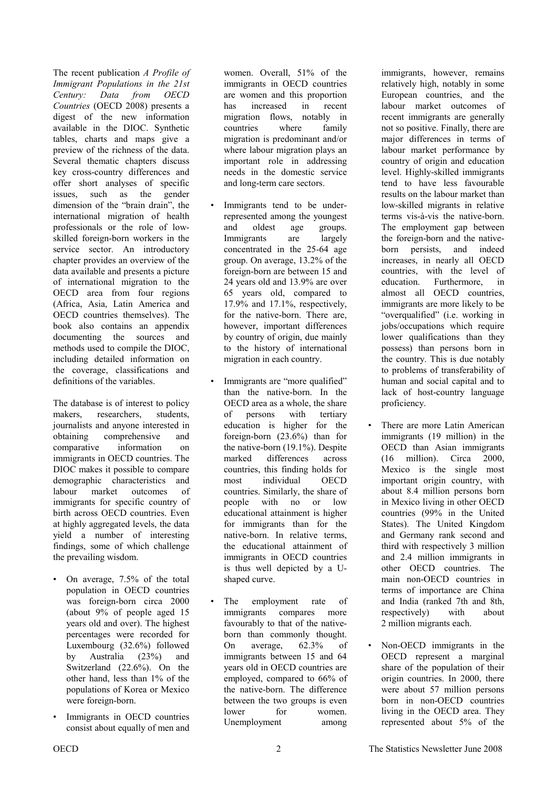The recent publication *A Profile of Immigrant Populations in the 21st Century: Data from OECD Countries* (OECD 2008) presents a digest of the new information available in the DIOC. Synthetic tables, charts and maps give a preview of the richness of the data. Several thematic chapters discuss key cross-country differences and offer short analyses of specific issues, such as the gender dimension of the "brain drain", the international migration of health professionals or the role of lowskilled foreign-born workers in the service sector. An introductory chapter provides an overview of the data available and presents a picture of international migration to the OECD area from four regions (Africa, Asia, Latin America and OECD countries themselves). The book also contains an appendix documenting the sources and methods used to compile the DIOC, including detailed information on the coverage, classifications and definitions of the variables.

The database is of interest to policy makers, researchers, students, journalists and anyone interested in obtaining comprehensive and comparative information on immigrants in OECD countries. The DIOC makes it possible to compare demographic characteristics and labour market outcomes of immigrants for specific country of birth across OECD countries. Even at highly aggregated levels, the data yield a number of interesting findings, some of which challenge the prevailing wisdom.

- On average, 7.5% of the total population in OECD countries was foreign-born circa 2000 (about 9% of people aged 15 years old and over). The highest percentages were recorded for Luxembourg (32.6%) followed by Australia (23%) and Switzerland (22.6%). On the other hand, less than 1% of the populations of Korea or Mexico were foreign-born.
- Immigrants in OECD countries consist about equally of men and

women. Overall, 51% of the immigrants in OECD countries are women and this proportion has increased in recent migration flows, notably in countries where family migration is predominant and/or where labour migration plays an important role in addressing needs in the domestic service and long-term care sectors.

- Immigrants tend to be underrepresented among the youngest and oldest age groups. Immigrants are largely concentrated in the 25-64 age group. On average, 13.2% of the foreign-born are between 15 and 24 years old and 13.9% are over 65 years old, compared to 17.9% and 17.1%, respectively, for the native-born. There are, however, important differences by country of origin, due mainly to the history of international migration in each country.
- Immigrants are "more qualified" than the native-born. In the OECD area as a whole, the share of persons with tertiary education is higher for the foreign-born (23.6%) than for the native-born (19.1%). Despite marked differences across countries, this finding holds for most individual OECD countries. Similarly, the share of people with no or low educational attainment is higher for immigrants than for the native-born. In relative terms, the educational attainment of immigrants in OECD countries is thus well depicted by a Ushaped curve.
- The employment rate of immigrants compares more favourably to that of the nativeborn than commonly thought. On average, 62.3% of immigrants between 15 and 64 years old in OECD countries are employed, compared to 66% of the native-born. The difference between the two groups is even lower for women. Unemployment among

immigrants, however, remains relatively high, notably in some European countries, and the labour market outcomes of recent immigrants are generally not so positive. Finally, there are major differences in terms of labour market performance by country of origin and education level. Highly-skilled immigrants tend to have less favourable results on the labour market than low-skilled migrants in relative terms vis-à-vis the native-born. The employment gap between the foreign-born and the nativeborn persists, and indeed increases, in nearly all OECD countries, with the level of education. Furthermore, in almost all OECD countries, immigrants are more likely to be "overqualified" (i.e. working in jobs/occupations which require lower qualifications than they possess) than persons born in the country. This is due notably to problems of transferability of human and social capital and to lack of host-country language proficiency.

- There are more Latin American immigrants (19 million) in the OECD than Asian immigrants (16 million). Circa 2000, Mexico is the single most important origin country, with about 8.4 million persons born in Mexico living in other OECD countries (99% in the United States). The United Kingdom and Germany rank second and third with respectively 3 million and 2.4 million immigrants in other OECD countries. The main non-OECD countries in terms of importance are China and India (ranked 7th and 8th, respectively with about 2 million migrants each.
- Non-OECD immigrants in the OECD represent a marginal share of the population of their origin countries. In 2000, there were about 57 million persons born in non-OECD countries living in the OECD area. They represented about 5% of the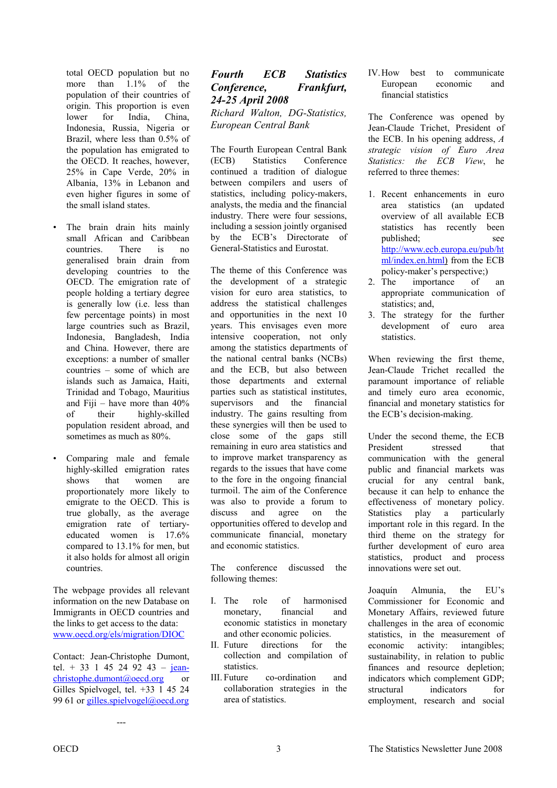<span id="page-2-0"></span>total OECD population but no more than  $1.1\%$  of the population of their countries of origin. This proportion is even lower for India, China, Indonesia, Russia, Nigeria or Brazil, where less than 0.5% of the population has emigrated to the OECD. It reaches, however, 25% in Cape Verde, 20% in Albania, 13% in Lebanon and even higher figures in some of the small island states.

- The brain drain hits mainly small African and Caribbean countries. There is no generalised brain drain from developing countries to the OECD. The emigration rate of people holding a tertiary degree is generally low (i.e. less than few percentage points) in most large countries such as Brazil, Indonesia, Bangladesh, India and China. However, there are exceptions: a number of smaller countries – some of which are islands such as Jamaica, Haiti, Trinidad and Tobago, Mauritius and Fiji – have more than 40% of their highly-skilled population resident abroad, and sometimes as much as 80%.
- Comparing male and female highly-skilled emigration rates shows that women are proportionately more likely to emigrate to the OECD. This is true globally, as the average emigration rate of tertiaryeducated women is 17.6% compared to 13.1% for men, but it also holds for almost all origin countries.

The webpage provides all relevant information on the new Database on Immigrants in OECD countries and the links to get access to the data: <www.oecd.org/els/migration/DIOC>

Contact: Jean-Christophe Dumont, tel. + 33 1 45 24 92 43 – [jean](mailto:jean-christophe.dumont@oecd.org)[christophe.dumont@oecd.org](mailto:jean-christophe.dumont@oecd.org) or Gilles Spielvogel, tel. +33 1 45 24 99 61 or gilles.spielvogel@oecd.org

---

### *Fourth ECB Statistics Conference, Frankfurt, 24-25 April 2008 Richard Walton, DG-Statistics, European Central Bank*

The Fourth European Central Bank (ECB) Statistics Conference continued a tradition of dialogue between compilers and users of statistics, including policy-makers, analysts, the media and the financial industry. There were four sessions, including a session jointly organised by the ECB's Directorate of General-Statistics and Eurostat.

The theme of this Conference was the development of a strategic vision for euro area statistics, to address the statistical challenges and opportunities in the next 10 years. This envisages even more intensive cooperation, not only among the statistics departments of the national central banks (NCBs) and the ECB, but also between those departments and external parties such as statistical institutes, supervisors and the financial industry. The gains resulting from these synergies will then be used to close some of the gaps still remaining in euro area statistics and to improve market transparency as regards to the issues that have come to the fore in the ongoing financial turmoil. The aim of the Conference was also to provide a forum to discuss and agree on the opportunities offered to develop and communicate financial, monetary and economic statistics.

The conference discussed the following themes:

- I. The role of harmonised monetary, financial and economic statistics in monetary and other economic policies.
- II. Future directions for the collection and compilation of statistics.
- III. Future co-ordination and collaboration strategies in the area of statistics.

IV. How best to communicate European economic and financial statistics

The Conference was opened by Jean-Claude Trichet, President of the ECB. In his opening address, *A strategic vision of Euro Area Statistics: the ECB View*, he referred to three themes:

- 1. Recent enhancements in euro area statistics (an updated overview of all available ECB statistics has recently been published; see [http://www.ecb.europa.eu/pub/ht](http://www.ecb.europa.eu/pub/html/index.en.html) [ml/index.en.html\)](http://www.ecb.europa.eu/pub/html/index.en.html) from the ECB policy-maker's perspective;)
- 2. The importance of an appropriate communication of statistics; and,
- 3. The strategy for the further development of euro area statistics.

When reviewing the first theme, Jean-Claude Trichet recalled the paramount importance of reliable and timely euro area economic, financial and monetary statistics for the ECB's decision-making.

Under the second theme, the ECB President stressed that communication with the general public and financial markets was crucial for any central bank, because it can help to enhance the effectiveness of monetary policy. Statistics play a particularly important role in this regard. In the third theme on the strategy for further development of euro area statistics, product and process innovations were set out.

Joaquín Almunia, the EU's Commissioner for Economic and Monetary Affairs, reviewed future challenges in the area of economic statistics, in the measurement of economic activity: intangibles; sustainability, in relation to public finances and resource depletion; indicators which complement GDP; structural indicators for employment, research and social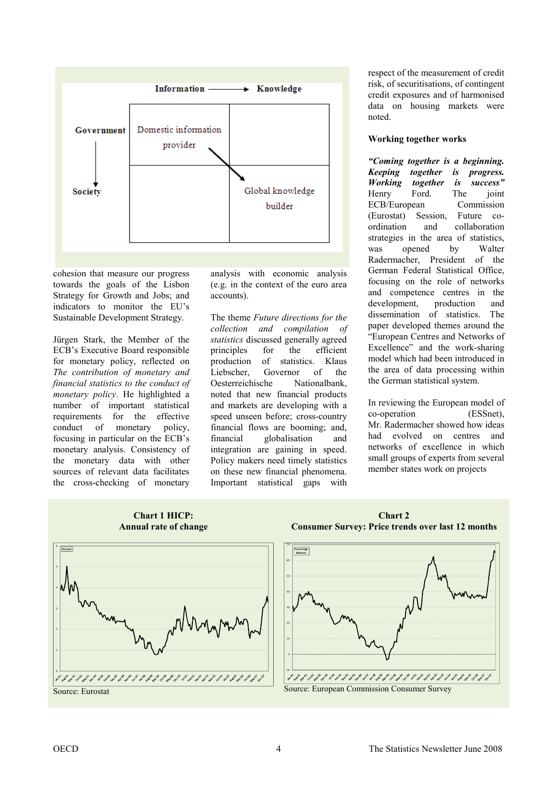

cohesion that measure our progress towards the goals of the Lisbon Strategy for Growth and Jobs; and indicators to monitor the EU's Sustainable Development Strategy.

Jürgen Stark, the Member of the ECB's Executive Board responsible for monetary policy, reflected on *The contribution of monetary and financial statistics to the conduct of monetary policy*. He highlighted a number of important statistical requirements for the effective conduct of monetary policy, focusing in particular on the ECB's monetary analysis. Consistency of the monetary data with other sources of relevant data facilitates the cross-checking of monetary

analysis with economic analysis (e.g. in the context of the euro area accounts).

The theme *Future directions for the collection and compilation of statistics* discussed generally agreed principles for the efficient production of statistics. Klaus Liebscher, Governor of the Oesterreichische Nationalbank, noted that new financial products and markets are developing with a speed unseen before; cross-country financial flows are booming; and, financial globalisation and integration are gaining in speed. Policy makers need timely statistics on these new financial phenomena. Important statistical gaps with

respect of the measurement of credit risk, of securitisations, of contingent credit exposures and of harmonised data on housing markets were noted.

#### **Working together works**

*"Coming together is a beginning. Keeping together is progress. Working together is success"* Henry Ford. The joint ECB/European Commission (Eurostat) Session, Future coordination and collaboration strategies in the area of statistics, was opened by Walter Radermacher, President of the German Federal Statistical Office, focusing on the role of networks and competence centres in the development, production and dissemination of statistics. The paper developed themes around the "European Centres and Networks of Excellence" and the work-sharing model which had been introduced in the area of data processing within the German statistical system.

In reviewing the European model of co-operation (ESSnet), Mr. Radermacher showed how ideas had evolved on centres and networks of excellence in which small groups of experts from several member states work on projects



**Chart 1 HICP:** 



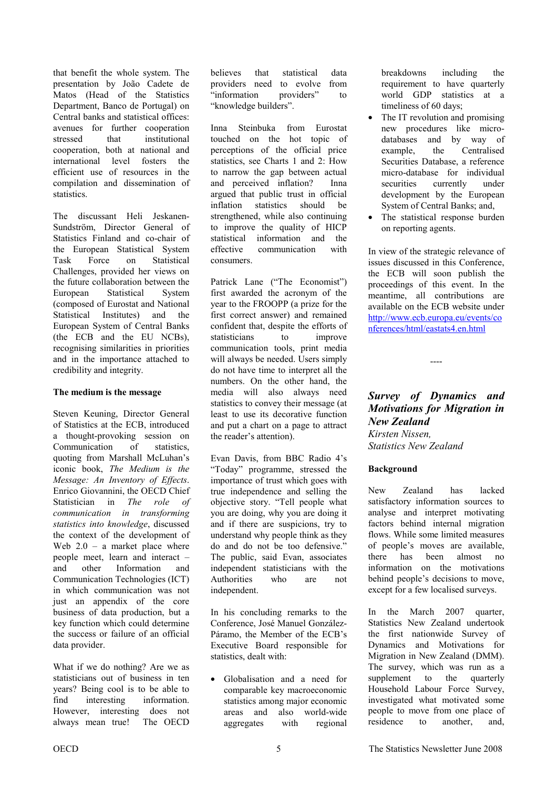<span id="page-4-0"></span>that benefit the whole system. The presentation by João Cadete de Matos (Head of the Statistics Department, Banco de Portugal) on Central banks and statistical offices: avenues for further cooperation stressed that institutional cooperation, both at national and international level fosters the efficient use of resources in the compilation and dissemination of statistics.

The discussant Heli Jeskanen-Sundström, Director General of Statistics Finland and co-chair of the European Statistical System Task Force on Statistical Challenges, provided her views on the future collaboration between the European Statistical System (composed of Eurostat and National Statistical Institutes) and the European System of Central Banks (the ECB and the EU NCBs), recognising similarities in priorities and in the importance attached to credibility and integrity.

#### **The medium is the message**

Steven Keuning, Director General of Statistics at the ECB, introduced a thought-provoking session on Communication of statistics, quoting from Marshall McLuhan's iconic book, *The Medium is the Message: An Inventory of Effects*. Enrico Giovannini, the OECD Chief Statistician in *The role of communication in transforming statistics into knowledge*, discussed the context of the development of Web  $2.0 - a$  market place where people meet, learn and interact – and other Information and Communication Technologies (ICT) in which communication was not just an appendix of the core business of data production, but a key function which could determine the success or failure of an official data provider.

What if we do nothing? Are we as statisticians out of business in ten years? Being cool is to be able to find interesting information. However, interesting does not always mean true! The OECD

believes that statistical data providers need to evolve from "information providers" to "knowledge builders".

Inna Steinbuka from Eurostat touched on the hot topic of perceptions of the official price statistics, see Charts 1 and 2: How to narrow the gap between actual and perceived inflation? Inna argued that public trust in official inflation statistics should be strengthened, while also continuing to improve the quality of HICP statistical information and the effective communication with consumers.

Patrick Lane ("The Economist") first awarded the acronym of the year to the FROOPP (a prize for the first correct answer) and remained confident that, despite the efforts of statisticians to improve communication tools, print media will always be needed. Users simply do not have time to interpret all the numbers. On the other hand, the media will also always need statistics to convey their message (at least to use its decorative function and put a chart on a page to attract the reader's attention).

Evan Davis, from BBC Radio 4's "Today" programme, stressed the importance of trust which goes with true independence and selling the objective story. "Tell people what you are doing, why you are doing it and if there are suspicions, try to understand why people think as they do and do not be too defensive.' The public, said Evan, associates independent statisticians with the Authorities who are not independent.

In his concluding remarks to the Conference, José Manuel González-Páramo, the Member of the ECB's Executive Board responsible for statistics, dealt with:

• Globalisation and a need for comparable key macroeconomic statistics among major economic areas and also world-wide aggregates with regional breakdowns including the requirement to have quarterly world GDP statistics at a timeliness of 60 days;

- The IT revolution and promising new procedures like microdatabases and by way of example, the Centralised Securities Database, a reference micro-database for individual securities currently under development by the European System of Central Banks; and,
- The statistical response burden on reporting agents.

In view of the strategic relevance of issues discussed in this Conference, the ECB will soon publish the proceedings of this event. In the meantime, all contributions are available on the ECB website under [http://www.ecb.europa.eu/events/co](http://www.ecb.europa.eu/events/conferences/html/eastats4.en.html) nferences/html/eastats4.en.html

#### *Survey of Dynamics and Motivations for Migration in New Zealand Kirsten Nissen,*

----

*Statistics New Zealand* 

#### **Background**

New Zealand has lacked satisfactory information sources to analyse and interpret motivating factors behind internal migration flows. While some limited measures of people's moves are available, there has been almost no information on the motivations behind people's decisions to move, except for a few localised surveys.

In the March 2007 quarter, Statistics New Zealand undertook the first nationwide Survey of Dynamics and Motivations for Migration in New Zealand (DMM). The survey, which was run as a supplement to the quarterly Household Labour Force Survey, investigated what motivated some people to move from one place of residence to another, and,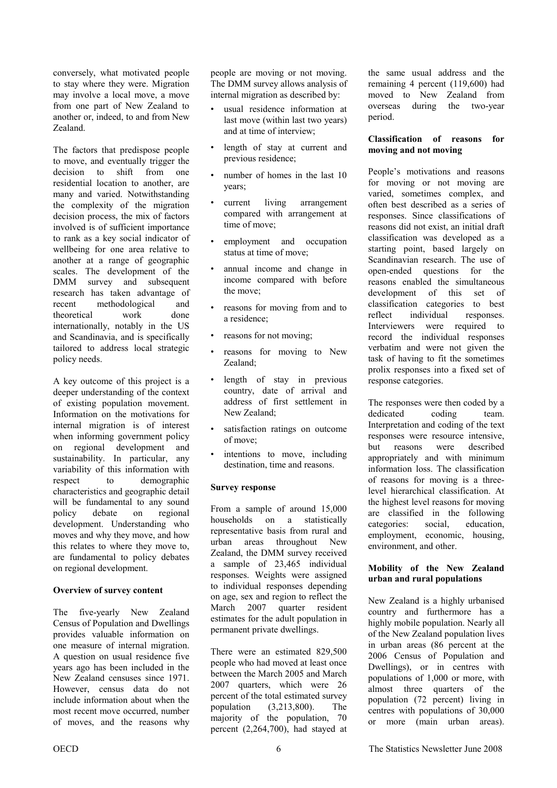conversely, what motivated people to stay where they were. Migration may involve a local move, a move from one part of New Zealand to another or, indeed, to and from New Zealand.

The factors that predispose people to move, and eventually trigger the decision to shift from one residential location to another, are many and varied. Notwithstanding the complexity of the migration decision process, the mix of factors involved is of sufficient importance to rank as a key social indicator of wellbeing for one area relative to another at a range of geographic scales. The development of the DMM survey and subsequent research has taken advantage of recent methodological and theoretical work done internationally, notably in the US and Scandinavia, and is specifically tailored to address local strategic policy needs.

A key outcome of this project is a deeper understanding of the context of existing population movement. Information on the motivations for internal migration is of interest when informing government policy on regional development and sustainability. In particular, any variability of this information with respect to demographic characteristics and geographic detail will be fundamental to any sound policy debate on regional development. Understanding who moves and why they move, and how this relates to where they move to, are fundamental to policy debates on regional development.

#### **Overview of survey content**

The five-yearly New Zealand Census of Population and Dwellings provides valuable information on one measure of internal migration. A question on usual residence five years ago has been included in the New Zealand censuses since 1971. However, census data do not include information about when the most recent move occurred, number of moves, and the reasons why people are moving or not moving. The DMM survey allows analysis of internal migration as described by:

- usual residence information at last move (within last two years) and at time of interview;
- length of stay at current and previous residence;
- number of homes in the last 10 years;
- current living arrangement compared with arrangement at time of move;
- employment and occupation status at time of move;
- annual income and change in income compared with before the move;
- reasons for moving from and to a residence;
- reasons for not moving;
- reasons for moving to New Zealand;
- length of stay in previous country, date of arrival and address of first settlement in New Zealand;
- satisfaction ratings on outcome of move;
- intentions to move, including destination, time and reasons.

#### **Survey response**

From a sample of around 15,000 households on a statistically representative basis from rural and urban areas throughout New Zealand, the DMM survey received a sample of 23,465 individual responses. Weights were assigned to individual responses depending on age, sex and region to reflect the March 2007 quarter resident estimates for the adult population in permanent private dwellings.

There were an estimated 829,500 people who had moved at least once between the March 2005 and March 2007 quarters, which were 26 percent of the total estimated survey population (3,213,800). The majority of the population, 70 percent (2,264,700), had stayed at the same usual address and the remaining 4 percent (119,600) had moved to New Zealand from overseas during the two-year period.

#### **Classification of reasons for moving and not moving**

People's motivations and reasons for moving or not moving are varied, sometimes complex, and often best described as a series of responses. Since classifications of reasons did not exist, an initial draft classification was developed as a starting point, based largely on Scandinavian research. The use of open-ended questions for the reasons enabled the simultaneous development of this set of classification categories to best reflect individual responses. Interviewers were required to record the individual responses verbatim and were not given the task of having to fit the sometimes prolix responses into a fixed set of response categories.

The responses were then coded by a dedicated coding team. Interpretation and coding of the text responses were resource intensive, but reasons were described appropriately and with minimum information loss. The classification of reasons for moving is a threelevel hierarchical classification. At the highest level reasons for moving are classified in the following categories: social, education, employment, economic, housing, environment, and other.

#### **Mobility of the New Zealand urban and rural populations**

New Zealand is a highly urbanised country and furthermore has a highly mobile population. Nearly all of the New Zealand population lives in urban areas (86 percent at the 2006 Census of Population and Dwellings), or in centres with populations of 1,000 or more, with almost three quarters of the population (72 percent) living in centres with populations of 30,000 or more (main urban areas).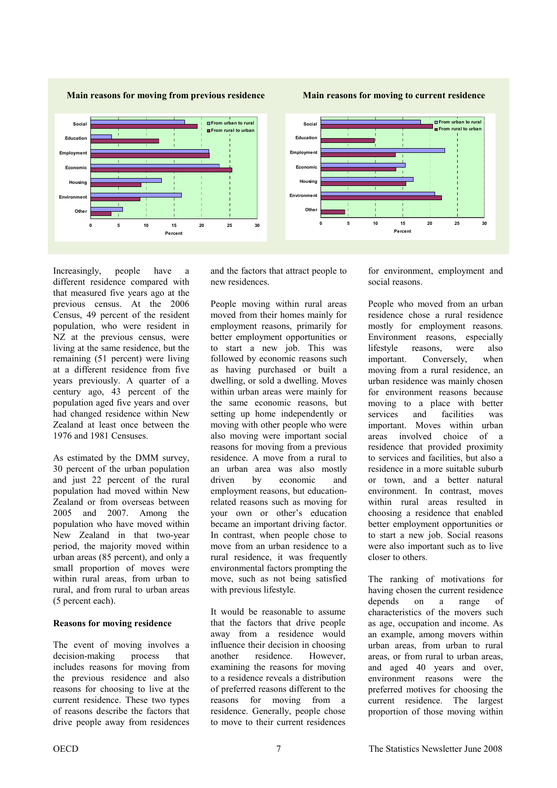**Main reasons for moving from previous residence** 

**Main reasons for moving to current residence** 



Increasingly, people have a different residence compared with that measured five years ago at the previous census. At the 2006 Census, 49 percent of the resident population, who were resident in NZ at the previous census, were living at the same residence, but the remaining (51 percent) were living at a different residence from five years previously. A quarter of a century ago, 43 percent of the population aged five years and over had changed residence within New Zealand at least once between the 1976 and 1981 Censuses.

As estimated by the DMM survey, 30 percent of the urban population and just 22 percent of the rural population had moved within New Zealand or from overseas between 2005 and 2007. Among the population who have moved within New Zealand in that two-year period, the majority moved within urban areas (85 percent), and only a small proportion of moves were within rural areas, from urban to rural, and from rural to urban areas (5 percent each).

#### **Reasons for moving residence**

The event of moving involves a decision-making process that includes reasons for moving from the previous residence and also reasons for choosing to live at the current residence. These two types of reasons describe the factors that drive people away from residences and the factors that attract people to new residences.

People moving within rural areas moved from their homes mainly for employment reasons, primarily for better employment opportunities or to start a new job. This was followed by economic reasons such as having purchased or built a dwelling, or sold a dwelling. Moves within urban areas were mainly for the same economic reasons, but setting up home independently or moving with other people who were also moving were important social reasons for moving from a previous residence. A move from a rural to an urban area was also mostly driven by economic and employment reasons, but educationrelated reasons such as moving for your own or other's education became an important driving factor. In contrast, when people chose to move from an urban residence to a rural residence, it was frequently environmental factors prompting the move, such as not being satisfied with previous lifestyle.

It would be reasonable to assume that the factors that drive people away from a residence would influence their decision in choosing another residence. However, examining the reasons for moving to a residence reveals a distribution of preferred reasons different to the reasons for moving from a residence. Generally, people chose to move to their current residences

for environment, employment and social reasons.

People who moved from an urban residence chose a rural residence mostly for employment reasons. Environment reasons, especially lifestyle reasons, were also important. Conversely, when moving from a rural residence, an urban residence was mainly chosen for environment reasons because moving to a place with better services and facilities was important. Moves within urban areas involved choice of a residence that provided proximity to services and facilities, but also a residence in a more suitable suburb or town, and a better natural environment. In contrast, moves within rural areas resulted in choosing a residence that enabled better employment opportunities or to start a new job. Social reasons were also important such as to live closer to others.

The ranking of motivations for having chosen the current residence depends on a range of characteristics of the movers such as age, occupation and income. As an example, among movers within urban areas, from urban to rural areas, or from rural to urban areas, and aged 40 years and over, environment reasons were the preferred motives for choosing the current residence. The largest proportion of those moving within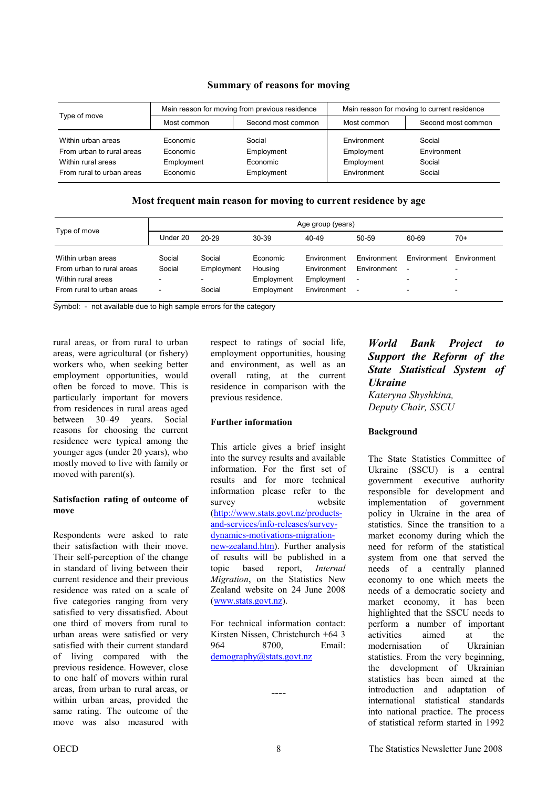<span id="page-7-0"></span>

| Type of move                                                                                       |                                                | Main reason for moving from previous residence | Main reason for moving to current residence            |                                           |  |
|----------------------------------------------------------------------------------------------------|------------------------------------------------|------------------------------------------------|--------------------------------------------------------|-------------------------------------------|--|
|                                                                                                    | Most common                                    | Second most common                             | Most common                                            | Second most common                        |  |
| Within urban areas<br>From urban to rural areas<br>Within rural areas<br>From rural to urban areas | Economic<br>Economic<br>Employment<br>Economic | Social<br>Employment<br>Economic<br>Employment | Environment<br>Employment<br>Employment<br>Environment | Social<br>Environment<br>Social<br>Social |  |

#### **Summary of reasons for moving**

#### **Most frequent main reason for moving to current residence by age**

| Type of move                                                                                       | Age group (years)                            |                                                            |                                                 |                                                                |                                                                                    |             |                                         |
|----------------------------------------------------------------------------------------------------|----------------------------------------------|------------------------------------------------------------|-------------------------------------------------|----------------------------------------------------------------|------------------------------------------------------------------------------------|-------------|-----------------------------------------|
|                                                                                                    | Under 20                                     | $20 - 29$                                                  | 30-39                                           | 40-49                                                          | 50-59                                                                              | 60-69       | 70+                                     |
| Within urban areas<br>From urban to rural areas<br>Within rural areas<br>From rural to urban areas | Social<br>Social<br>$\overline{\phantom{0}}$ | Social<br>Employment<br>$\overline{\phantom{a}}$<br>Social | Economic<br>Housing<br>Employment<br>Employment | <b>Environment</b><br>Environment<br>Employment<br>Environment | Environment<br>Environment<br>$\overline{\phantom{a}}$<br>$\overline{\phantom{a}}$ | Environment | Environment<br>$\overline{\phantom{0}}$ |

Symbol: - not available due to high sample errors for the category

rural areas, or from rural to urban areas, were agricultural (or fishery) workers who, when seeking better employment opportunities, would often be forced to move. This is particularly important for movers from residences in rural areas aged between 30–49 years. Social reasons for choosing the current residence were typical among the younger ages (under 20 years), who mostly moved to live with family or moved with parent(s).

#### **Satisfaction rating of outcome of move**

Respondents were asked to rate their satisfaction with their move. Their self-perception of the change in standard of living between their current residence and their previous residence was rated on a scale of five categories ranging from very satisfied to very dissatisfied. About one third of movers from rural to urban areas were satisfied or very satisfied with their current standard of living compared with the previous residence. However, close to one half of movers within rural areas, from urban to rural areas, or within urban areas, provided the same rating. The outcome of the move was also measured with

respect to ratings of social life, employment opportunities, housing and environment, as well as an overall rating, at the current residence in comparison with the previous residence.

#### **Further information**

This article gives a brief insight into the survey results and available information. For the first set of results and for more technical information please refer to the survey website [\(http://www.stats.govt.nz/products](http://www.stats.govt.nz/products-and-services/info-releases/survey-dynamics-motivations-migration-new-zealand.htm)and-services/info-releases/surveydynamics-motivations-migration[new-zealand.htm\).](http://www.stats.govt.nz/products-and-services/info-releases/survey-dynamics-motivations-migration-new-zealand.htm) Further analysis of results will be published in a topic based report, *Internal Migration*, on the Statistics New Zealand website on 24 June 2008 [\(www.stats.govt.nz\)](www.stats.govt.nz).

For technical information contact: Kirsten Nissen, Christchurch +64 3 964 8700, Email: <demography@stats.govt.nz>

*----* 

### *World Bank Project to Support the Reform of the State Statistical System of Ukraine*

*Kateryna Shyshkina, Deputy Chair, SSCU* 

#### **Background**

The State Statistics Committee of Ukraine (SSCU) is a central government executive authority responsible for development and implementation of government policy in Ukraine in the area of statistics. Since the transition to a market economy during which the need for reform of the statistical system from one that served the needs of a centrally planned economy to one which meets the needs of a democratic society and market economy, it has been highlighted that the SSCU needs to perform a number of important activities aimed at the modernisation of Ukrainian statistics. From the very beginning, the development of Ukrainian statistics has been aimed at the introduction and adaptation of international statistical standards into national practice. The process of statistical reform started in 1992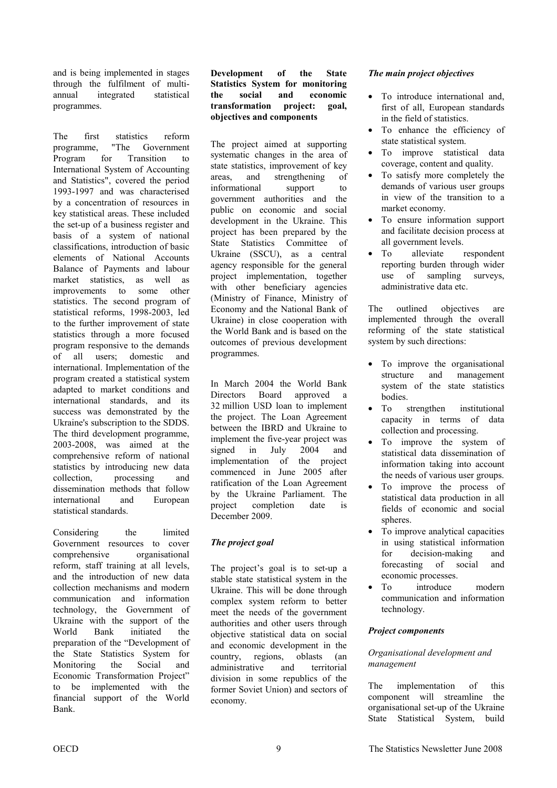and is being implemented in stages through the fulfilment of multiannual integrated statistical programmes.

The first statistics reform programme, "The Government Program for Transition to International System of Accounting and Statistics", covered the period 1993-1997 and was characterised by a concentration of resources in key statistical areas. These included the set-up of a business register and basis of a system of national classifications, introduction of basic elements of National Accounts Balance of Payments and labour market statistics, as well as improvements to some other statistics. The second program of statistical reforms, 1998-2003, led to the further improvement of state statistics through a more focused program responsive to the demands of all users; domestic and international. Implementation of the program created a statistical system adapted to market conditions and international standards, and its success was demonstrated by the Ukraine's subscription to the SDDS. The third development programme, 2003-2008, was aimed at the comprehensive reform of national statistics by introducing new data collection, processing and dissemination methods that follow international and European statistical standards.

Considering the limited Government resources to cover comprehensive organisational reform, staff training at all levels, and the introduction of new data collection mechanisms and modern communication and information technology, the Government of Ukraine with the support of the World Bank initiated the preparation of the "Development of the State Statistics System for Monitoring the Social and Economic Transformation Project" to be implemented with the financial support of the World Bank.

#### **Development of the State Statistics System for monitoring the social and economic transformation project: goal, objectives and components**

The project aimed at supporting systematic changes in the area of state statistics, improvement of key areas, and strengthening of informational support to government authorities and the public on economic and social development in the Ukraine. This project has been prepared by the State Statistics Committee of Ukraine (SSCU), as a central agency responsible for the general project implementation, together with other beneficiary agencies (Ministry of Finance, Ministry of Economy and the National Bank of Ukraine) in close cooperation with the World Bank and is based on the outcomes of previous development programmes.

In March 2004 the World Bank Directors Board approved a 32 million USD loan to implement the project. The Loan Agreement between the IBRD and Ukraine to implement the five-year project was signed in July 2004 and implementation of the project commenced in June 2005 after ratification of the Loan Agreement by the Ukraine Parliament. The project completion date is December 2009.

### *The project goal*

The project's goal is to set-up a stable state statistical system in the Ukraine. This will be done through complex system reform to better meet the needs of the government authorities and other users through objective statistical data on social and economic development in the country, regions, oblasts (an administrative and territorial division in some republics of the former Soviet Union) and sectors of economy.

#### *The main project objectives*

- To introduce international and, first of all, European standards in the field of statistics.
- To enhance the efficiency of state statistical system.
- To improve statistical data coverage, content and quality.
- To satisfy more completely the demands of various user groups in view of the transition to a market economy.
- To ensure information support and facilitate decision process at all government levels.
- To alleviate respondent reporting burden through wider use of sampling surveys, administrative data etc.

The outlined objectives are implemented through the overall reforming of the state statistical system by such directions:

- To improve the organisational structure and management system of the state statistics bodies.
- To strengthen institutional capacity in terms of data collection and processing.
- To improve the system of statistical data dissemination of information taking into account the needs of various user groups.
- To improve the process of statistical data production in all fields of economic and social spheres.
- To improve analytical capacities in using statistical information for decision-making and forecasting of social and economic processes.
- To introduce modern communication and information technology.

#### *Project components*

#### *Organisational development and management*

The implementation of this component will streamline the organisational set-up of the Ukraine State Statistical System, build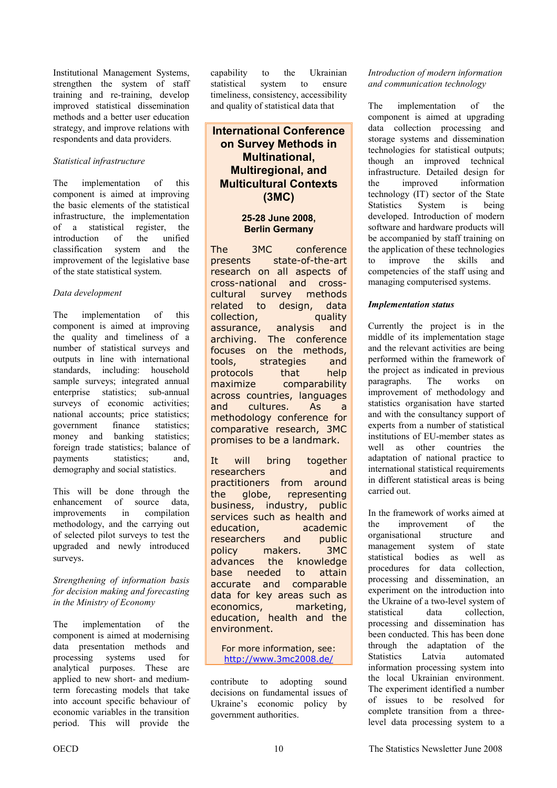Institutional Management Systems, strengthen the system of staff training and re-training, develop improved statistical dissemination methods and a better user education strategy, and improve relations with respondents and data providers.

#### *Statistical infrastructure*

The implementation of this component is aimed at improving the basic elements of the statistical infrastructure, the implementation of a statistical register, the introduction of the unified classification system and the improvement of the legislative base of the state statistical system.

#### *Data development*

The implementation of this component is aimed at improving the quality and timeliness of a number of statistical surveys and outputs in line with international standards, including: household sample surveys; integrated annual enterprise statistics; sub-annual surveys of economic activities; national accounts; price statistics; government finance statistics; money and banking statistics; foreign trade statistics; balance of payments statistics; and, demography and social statistics.

This will be done through the enhancement of source data, improvements in compilation methodology, and the carrying out of selected pilot surveys to test the upgraded and newly introduced surveys.

*Strengthening of information basis for decision making and forecasting in the Ministry of Economy* 

The implementation of the component is aimed at modernising data presentation methods and processing systems used for analytical purposes. These are applied to new short- and mediumterm forecasting models that take into account specific behaviour of economic variables in the transition period. This will provide the

capability to the Ukrainian statistical system to ensure timeliness, consistency, accessibility and quality of statistical data that

### **International Conference on Survey Methods in Multinational, Multiregional, and Multicultural Contexts (3MC)**

### **25-28 June 2008, Berlin Germany**

The 3MC conference presents state-of-the-art research on all aspects of cross-national and crosscultural survey methods related to design, data collection, quality assurance, analysis and archiving. The conference focuses on the methods, tools, strategies and protocols that help maximize comparability across countries, languages and cultures. As a methodology conference for comparative research, 3MC promises to be a landmark.

It will bring together researchers and practitioners from around the globe, representing business, industry, public services such as health and education, academic researchers and public policy makers. 3MC advances the knowledge base needed to attain accurate and comparable data for key areas such as economics, marketing, education, health and the environment.

For more information, see: http://www.3mc2008.de/

contribute to adopting sound decisions on fundamental issues of Ukraine's economic policy by government authorities.

#### *Introduction of modern information and communication technology*

The implementation of the component is aimed at upgrading data collection processing and storage systems and dissemination technologies for statistical outputs; though an improved technical infrastructure. Detailed design for the improved information technology (IT) sector of the State Statistics System is being developed. Introduction of modern software and hardware products will be accompanied by staff training on the application of these technologies to improve the skills and competencies of the staff using and managing computerised systems.

#### *Implementation status*

Currently the project is in the middle of its implementation stage and the relevant activities are being performed within the framework of the project as indicated in previous paragraphs. The works on improvement of methodology and statistics organisation have started and with the consultancy support of experts from a number of statistical institutions of EU-member states as well as other countries the adaptation of national practice to international statistical requirements in different statistical areas is being carried out.

In the framework of works aimed at the improvement of the organisational structure and management system of state statistical bodies as well as procedures for data collection, processing and dissemination, an experiment on the introduction into the Ukraine of a two-level system of statistical data collection, processing and dissemination has been conducted. This has been done through the adaptation of the Statistics Latvia automated information processing system into the local Ukrainian environment. The experiment identified a number of issues to be resolved for complete transition from a threelevel data processing system to a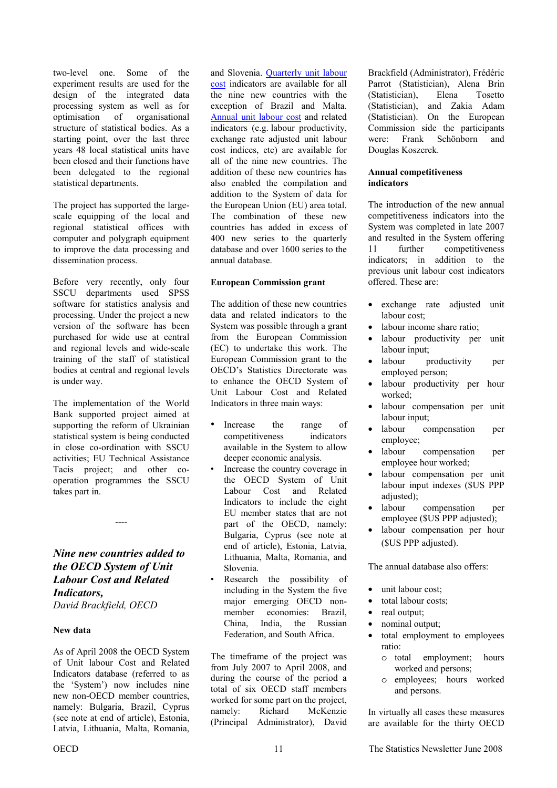<span id="page-10-0"></span>two-level one. Some of the experiment results are used for the design of the integrated data processing system as well as for optimisation of organisational structure of statistical bodies. As a starting point, over the last three years 48 local statistical units have been closed and their functions have been delegated to the regional statistical departments.

The project has supported the largescale equipping of the local and regional statistical offices with computer and polygraph equipment to improve the data processing and dissemination process.

Before very recently, only four SSCU departments used SPSS software for statistics analysis and processing. Under the project a new version of the software has been purchased for wide use at central and regional levels and wide-scale training of the staff of statistical bodies at central and regional levels is under way.

The implementation of the World Bank supported project aimed at supporting the reform of Ukrainian statistical system is being conducted in close co-ordination with SSCU activities; EU Technical Assistance Tacis project; and other cooperation programmes the SSCU takes part in.

*Nine new countries added to the OECD System of Unit Labour Cost and Related Indicators, David Brackfield, OECD* 

----

#### **New data**

As of April 2008 the OECD System of Unit labour Cost and Related Indicators database (referred to as the 'System') now includes nine new non-OECD member countries, namely: Bulgaria, Brazil, Cyprus (see note at end of article), Estonia, Latvia, Lithuania, Malta, Romania,

and Slovenia. [Quarterly unit labour](http://stats.oecd.org/wbos/Index.aspx?DatasetCode=ULC_QUA)  [cost](http://stats.oecd.org/wbos/Index.aspx?DatasetCode=ULC_QUA) indicators are available for all the nine new countries with the exception of Brazil and Malta. [Annual unit labour cost](http://stats.oecd.org/wbos/Index.aspx?DatasetCode=ULC_ANN) and related indicators (e.g. labour productivity, exchange rate adjusted unit labour cost indices, etc) are available for all of the nine new countries. The addition of these new countries has also enabled the compilation and addition to the System of data for the European Union (EU) area total. The combination of these new countries has added in excess of 400 new series to the quarterly database and over 1600 series to the annual database.

#### **European Commission grant**

The addition of these new countries data and related indicators to the System was possible through a grant from the European Commission (EC) to undertake this work. The European Commission grant to the OECD's Statistics Directorate was to enhance the OECD System of Unit Labour Cost and Related Indicators in three main ways:

- Increase the range of competitiveness indicators available in the System to allow deeper economic analysis.
- Increase the country coverage in the OECD System of Unit Labour Cost and Related Indicators to include the eight EU member states that are not part of the OECD, namely: Bulgaria, Cyprus (see note at end of article), Estonia, Latvia, Lithuania, Malta, Romania, and Slovenia.
- Research the possibility of including in the System the five major emerging OECD nonmember economies: Brazil, China, India, the Russian Federation, and South Africa.

The timeframe of the project was from July 2007 to April 2008, and during the course of the period a total of six OECD staff members worked for some part on the project, namely: Richard McKenzie (Principal Administrator), David

Brackfield (Administrator), Frédéric Parrot (Statistician), Alena Brin (Statistician), Elena Tosetto (Statistician), and Zakia Adam (Statistician). On the European Commission side the participants were: Frank Schönborn and Douglas Koszerek.

#### **Annual competitiveness indicators**

The introduction of the new annual competitiveness indicators into the System was completed in late 2007 and resulted in the System offering 11 further competitiveness indicators; in addition to the previous unit labour cost indicators offered. These are:

- exchange rate adjusted unit labour cost;
- labour income share ratio:
- labour productivity per unit labour input;
- labour productivity per employed person;
- labour productivity per hour worked;
- labour compensation per unit labour input;
- labour compensation per employee;
- labour compensation per employee hour worked;
- labour compensation per unit labour input indexes (\$US PPP adjusted);
- labour compensation per employee (\$US PPP adjusted);
- labour compensation per hour (\$US PPP adjusted).

The annual database also offers:

- unit labour cost;
- total labour costs:
- real output:
- nominal output;
- total employment to employees ratio:
	- o total employment; hours worked and persons;
	- o employees; hours worked and persons.

In virtually all cases these measures are available for the thirty OECD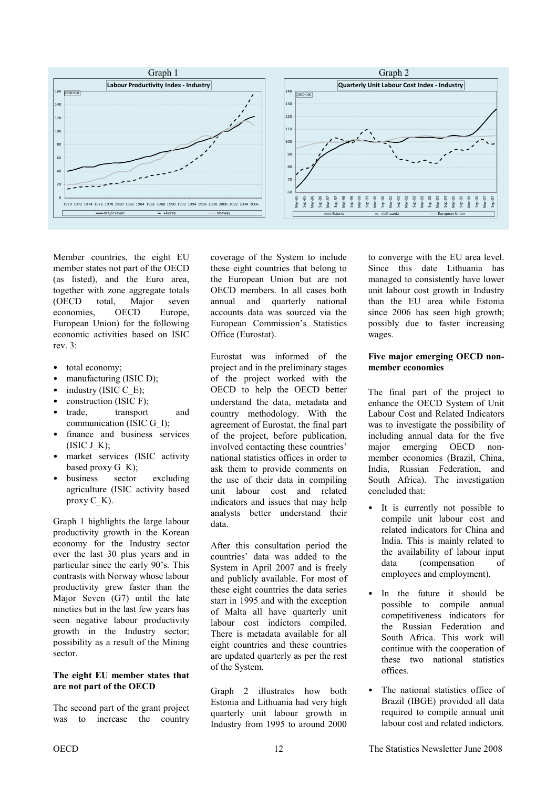

Member countries, the eight EU member states not part of the OECD (as listed), and the Euro area, together with zone aggregate totals (OECD total, Major seven economies, OECD Europe, European Union) for the following economic activities based on ISIC rev. 3:

- total economy:
- manufacturing (ISIC D);
- industry (ISIC  $\bar{C}$  E);
- construction (ISIC F);
- trade, transport and communication (ISIC G\_I);
- finance and business services  $(ISIC J K);$
- market services (ISIC activity based proxy G\_K);
- business sector excluding agriculture (ISIC activity based proxy  $C$  K).

Graph 1 highlights the large labour productivity growth in the Korean economy for the Industry sector over the last 30 plus years and in particular since the early 90's. This contrasts with Norway whose labour productivity grew faster than the Major Seven (G7) until the late nineties but in the last few years has seen negative labour productivity growth in the Industry sector; possibility as a result of the Mining sector.

#### **The eight EU member states that are not part of the OECD**

The second part of the grant project was to increase the country coverage of the System to include these eight countries that belong to the European Union but are not OECD members. In all cases both annual and quarterly national accounts data was sourced via the European Commission's Statistics Office (Eurostat).

Eurostat was informed of the project and in the preliminary stages of the project worked with the OECD to help the OECD better understand the data, metadata and country methodology. With the agreement of Eurostat, the final part of the project, before publication, involved contacting these countries' national statistics offices in order to ask them to provide comments on the use of their data in compiling unit labour cost and related indicators and issues that may help analysts better understand their data.

After this consultation period the countries' data was added to the System in April 2007 and is freely and publicly available. For most of these eight countries the data series start in 1995 and with the exception of Malta all have quarterly unit labour cost indictors compiled. There is metadata available for all eight countries and these countries are updated quarterly as per the rest of the System.

Graph 2 illustrates how both Estonia and Lithuania had very high quarterly unit labour growth in Industry from 1995 to around 2000 to converge with the EU area level. Since this date Lithuania has managed to consistently have lower unit labour cost growth in Industry than the EU area while Estonia since 2006 has seen high growth; possibly due to faster increasing wages.

#### **Five major emerging OECD nonmember economies**

The final part of the project to enhance the OECD System of Unit Labour Cost and Related Indicators was to investigate the possibility of including annual data for the five major emerging OECD nonmember economies (Brazil, China, India, Russian Federation, and South Africa). The investigation concluded that:

- It is currently not possible to compile unit labour cost and related indicators for China and India. This is mainly related to the availability of labour input data (compensation of employees and employment).
- In the future it should be possible to compile annual competitiveness indicators for the Russian Federation and South Africa. This work will continue with the cooperation of these two national statistics offices.
- The national statistics office of Brazil (IBGE) provided all data required to compile annual unit labour cost and related indictors.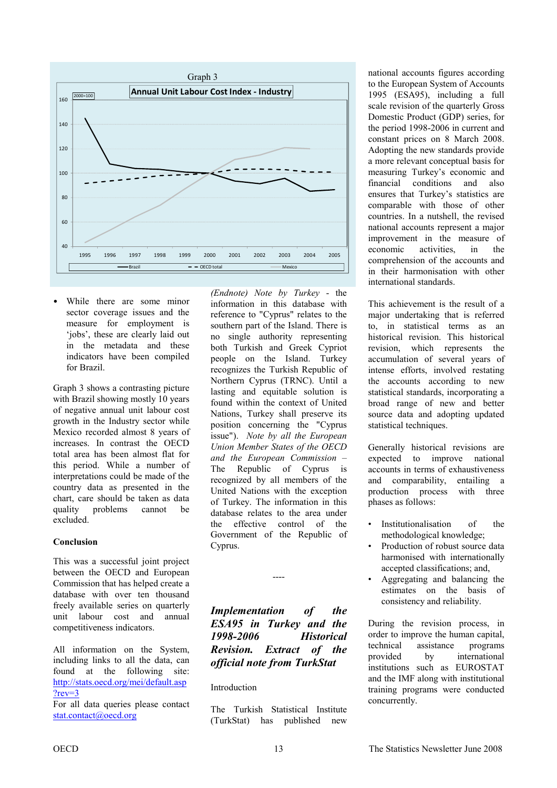<span id="page-12-0"></span>

• While there are some minor sector coverage issues and the measure for employment is 'jobs', these are clearly laid out in the metadata and these indicators have been compiled for Brazil.

Graph 3 shows a contrasting picture with Brazil showing mostly 10 years of negative annual unit labour cost growth in the Industry sector while Mexico recorded almost 8 years of increases. In contrast the OECD total area has been almost flat for this period. While a number of interpretations could be made of the country data as presented in the chart, care should be taken as data quality problems cannot be excluded.

#### **Conclusion**

This was a successful joint project between the OECD and European Commission that has helped create a database with over ten thousand freely available series on quarterly unit labour cost and annual competitiveness indicators.

All information on the System, including links to all the data, can found at the following site: [http://stats.oecd.org/mei/default.asp](http://stats.oecd.org/mei/default.asp?rev=3) ?rev=3

For all data queries please contact stat.contact@oecd.org

*(Endnote) Note by Turkey* - the information in this database with reference to "Cyprus" relates to the southern part of the Island. There is no single authority representing both Turkish and Greek Cypriot people on the Island. Turkey recognizes the Turkish Republic of Northern Cyprus (TRNC). Until a lasting and equitable solution is found within the context of United Nations, Turkey shall preserve its position concerning the "Cyprus issue"). *Note by all the European Union Member States of the OECD and the European Commission –*  The Republic of Cyprus is recognized by all members of the United Nations with the exception of Turkey. The information in this database relates to the area under the effective control of the Government of the Republic of Cyprus.

*Implementation of the ESA95 in Turkey and the 1998-2006 Historical Revision. Extract of the official note from TurkStat* 

----

#### Introduction

The Turkish Statistical Institute (TurkStat) has published new national accounts figures according to the European System of Accounts 1995 (ESA95), including a full scale revision of the quarterly Gross Domestic Product (GDP) series, for the period 1998-2006 in current and constant prices on 8 March 2008. Adopting the new standards provide a more relevant conceptual basis for measuring Turkey's economic and financial conditions and also ensures that Turkey's statistics are comparable with those of other countries. In a nutshell, the revised national accounts represent a major improvement in the measure of economic activities, in the comprehension of the accounts and in their harmonisation with other international standards.

This achievement is the result of a major undertaking that is referred to, in statistical terms as an historical revision. This historical revision, which represents the accumulation of several years of intense efforts, involved restating the accounts according to new statistical standards, incorporating a broad range of new and better source data and adopting updated statistical techniques.

Generally historical revisions are expected to improve national accounts in terms of exhaustiveness and comparability, entailing a production process with three phases as follows:

- Institutionalisation of the methodological knowledge;
- Production of robust source data harmonised with internationally accepted classifications; and,
- Aggregating and balancing the estimates on the basis of consistency and reliability.

During the revision process, in order to improve the human capital, technical assistance programs provided by international institutions such as EUROSTAT and the IMF along with institutional training programs were conducted concurrently.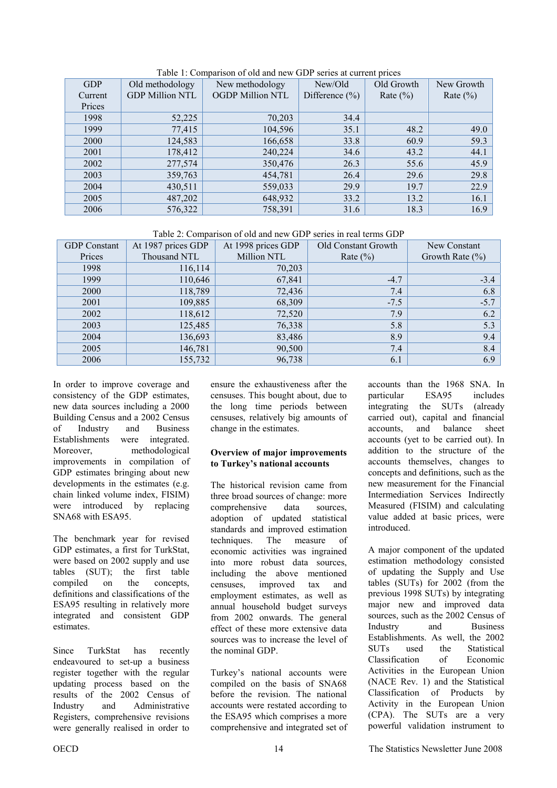| <b>GDP</b> | Old methodology        | New methodology         | New/Old            | Old Growth   | New Growth   |
|------------|------------------------|-------------------------|--------------------|--------------|--------------|
| Current    | <b>GDP Million NTL</b> | <b>OGDP Million NTL</b> | Difference $(\% )$ | Rate $(\% )$ | Rate $(\% )$ |
| Prices     |                        |                         |                    |              |              |
| 1998       | 52,225                 | 70,203                  | 34.4               |              |              |
| 1999       | 77,415                 | 104,596                 | 35.1               | 48.2         | 49.0         |
| 2000       | 124,583                | 166,658                 | 33.8               | 60.9         | 59.3         |
| 2001       | 178,412                | 240,224                 | 34.6               | 43.2         | 44.1         |
| 2002       | 277,574                | 350,476                 | 26.3               | 55.6         | 45.9         |
| 2003       | 359,763                | 454,781                 | 26.4               | 29.6         | 29.8         |
| 2004       | 430,511                | 559,033                 | 29.9               | 19.7         | 22.9         |
| 2005       | 487,202                | 648,932                 | 33.2               | 13.2         | 16.1         |
| 2006       | 576,322                | 758,391                 | 31.6               | 18.3         | 16.9         |

Table 1: Comparison of old and new GDP series at current prices

Table 2: Comparison of old and new GDP series in real terms GDP

| <b>GDP</b> Constant | At 1987 prices GDP | At 1998 prices GDP | Old Constant Growth | New Constant       |
|---------------------|--------------------|--------------------|---------------------|--------------------|
| Prices              | Thousand NTL       | Million NTL        | Rate $(\% )$        | Growth Rate $(\%)$ |
| 1998                | 116,114            | 70,203             |                     |                    |
| 1999                | 110,646            | 67,841             | $-4.7$              | $-3.4$             |
| 2000                | 118,789            | 72,436             | 7.4                 | 6.8                |
| 2001                | 109,885            | 68,309             | $-7.5$              | $-5.7$             |
| 2002                | 118,612            | 72,520             | 7.9                 | 6.2                |
| 2003                | 125,485            | 76,338             | 5.8                 | 5.3                |
| 2004                | 136,693            | 83,486             | 8.9                 | 9.4                |
| 2005                | 146,781            | 90,500             | 7.4                 | 8.4                |
| 2006                | 155,732            | 96,738             | 6.1                 | 6.9                |

In order to improve coverage and consistency of the GDP estimates, new data sources including a 2000 Building Census and a 2002 Census of Industry and Business Establishments were integrated. Moreover, methodological improvements in compilation of GDP estimates bringing about new developments in the estimates (e.g. chain linked volume index, FISIM) were introduced by replacing SNA68 with ESA95.

The benchmark year for revised GDP estimates, a first for TurkStat, were based on 2002 supply and use tables (SUT); the first table compiled on the concepts, definitions and classifications of the ESA95 resulting in relatively more integrated and consistent GDP estimates.

Since TurkStat has recently endeavoured to set-up a business register together with the regular updating process based on the results of the 2002 Census of Industry and Administrative Registers, comprehensive revisions were generally realised in order to

ensure the exhaustiveness after the censuses. This bought about, due to the long time periods between censuses, relatively big amounts of change in the estimates.

#### **Overview of major improvements to Turkey's national accounts**

The historical revision came from three broad sources of change: more comprehensive data sources, adoption of updated statistical standards and improved estimation techniques. The measure of economic activities was ingrained into more robust data sources, including the above mentioned censuses, improved tax and employment estimates, as well as annual household budget surveys from 2002 onwards. The general effect of these more extensive data sources was to increase the level of the nominal GDP.

Turkey's national accounts were compiled on the basis of SNA68 before the revision. The national accounts were restated according to the ESA95 which comprises a more comprehensive and integrated set of accounts than the 1968 SNA. In particular ESA95 includes integrating the SUTs (already carried out), capital and financial accounts, and balance sheet accounts (yet to be carried out). In addition to the structure of the accounts themselves, changes to concepts and definitions, such as the new measurement for the Financial Intermediation Services Indirectly Measured (FISIM) and calculating value added at basic prices, were introduced.

A major component of the updated estimation methodology consisted of updating the Supply and Use tables (SUTs) for 2002 (from the previous 1998 SUTs) by integrating major new and improved data sources, such as the 2002 Census of Industry and Business Establishments. As well, the 2002 SUTs used the Statistical Classification of Economic Activities in the European Union (NACE Rev. 1) and the Statistical Classification of Products by Activity in the European Union (CPA). The SUTs are a very powerful validation instrument to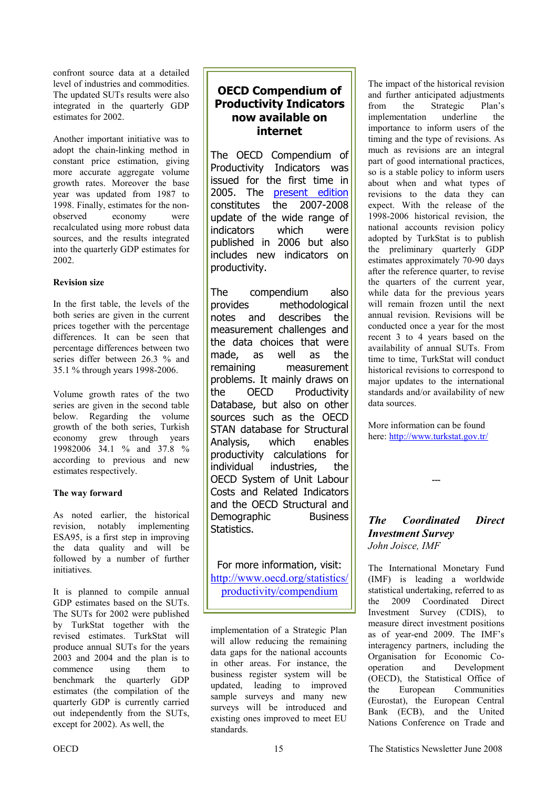confront source data at a detailed level of industries and commodities. The updated SUTs results were also integrated in the quarterly GDP estimates for 2002.

Another important initiative was to adopt the chain-linking method in constant price estimation, giving more accurate aggregate volume growth rates. Moreover the base year was updated from 1987 to 1998. Finally, estimates for the nonobserved economy were recalculated using more robust data sources, and the results integrated into the quarterly GDP estimates for 2002.

#### **Revision size**

In the first table, the levels of the both series are given in the current prices together with the percentage differences. It can be seen that percentage differences between two series differ between 26.3 % and 35.1 % through years 1998-2006.

Volume growth rates of the two series are given in the second table below. Regarding the volume growth of the both series, Turkish economy grew through years 19982006 34.1 % and 37.8 % according to previous and new estimates respectively.

#### **The way forward**

As noted earlier, the historical revision, notably implementing ESA95, is a first step in improving the data quality and will be followed by a number of further initiatives.

It is planned to compile annual GDP estimates based on the SUTs. The SUTs for 2002 were published by TurkStat together with the revised estimates. TurkStat will produce annual SUTs for the years 2003 and 2004 and the plan is to commence using them to benchmark the quarterly GDP estimates (the compilation of the quarterly GDP is currently carried out independently from the SUTs, except for 2002). As well, the

### **OECD Compendium of Productivity Indicators now available on internet**

The OECD Compendium of Productivity Indicators was issued for the first time in 2005. The [present edition](http://www.oecd.org/dataoecd/6/3/40605524.pdf) constitutes the 2007-2008 update of the wide range of indicators which were published in 2006 but also includes new indicators on productivity.

The compendium also provides methodological notes and describes the measurement challenges and the data choices that were made, as well as the remaining measurement problems. It mainly draws on the OECD Productivity Database, but also on other sources such as the OECD STAN database for Structural Analysis, which enables productivity calculations for individual industries, the OECD System of Unit Labour Costs and Related Indicators and the OECD Structural and Demographic Business Statistics.

For more information, visit: [http://www.oecd.org/statistics/](http://www.oecd.org/statistics/productivity/compendium) productivity/compendium

implementation of a Strategic Plan will allow reducing the remaining data gaps for the national accounts in other areas. For instance, the business register system will be updated, leading to improved sample surveys and many new surveys will be introduced and existing ones improved to meet EU standards.

The impact of the historical revision and further anticipated adjustments from the Strategic Plan's implementation underline the importance to inform users of the timing and the type of revisions. As much as revisions are an integral part of good international practices, so is a stable policy to inform users about when and what types of revisions to the data they can expect. With the release of the 1998-2006 historical revision, the national accounts revision policy adopted by TurkStat is to publish the preliminary quarterly GDP estimates approximately 70-90 days after the reference quarter, to revise the quarters of the current year, while data for the previous years will remain frozen until the next annual revision. Revisions will be conducted once a year for the most recent 3 to 4 years based on the availability of annual SUTs. From time to time, TurkStat will conduct historical revisions to correspond to major updates to the international standards and/or availability of new data sources.

More information can be found here:<http://www.turkstat.gov.tr/>

### *The Coordinated Direct Investment Survey John Joisce, IMF*

*---* 

The International Monetary Fund (IMF) is leading a worldwide statistical undertaking, referred to as the 2009 Coordinated Direct Investment Survey (CDIS), to measure direct investment positions as of year-end 2009. The IMF's interagency partners, including the Organisation for Economic Cooperation and Development (OECD), the Statistical Office of the European Communities (Eurostat), the European Central Bank (ECB), and the United Nations Conference on Trade and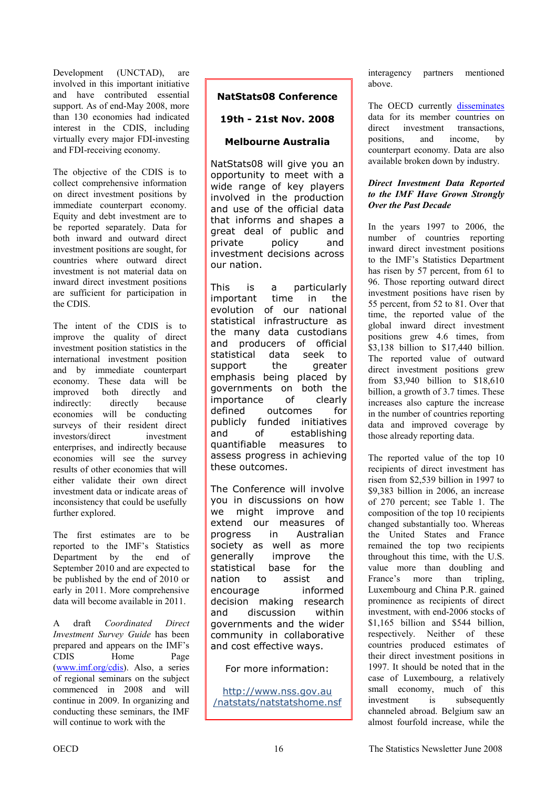Development (UNCTAD), are involved in this important initiative and have contributed essential support. As of end-May 2008, more than 130 economies had indicated interest in the CDIS, including virtually every major FDI-investing and FDI-receiving economy.

The objective of the CDIS is to collect comprehensive information on direct investment positions by immediate counterpart economy. Equity and debt investment are to be reported separately. Data for both inward and outward direct investment positions are sought, for countries where outward direct investment is not material data on inward direct investment positions are sufficient for participation in the CDIS.

The intent of the CDIS is to improve the quality of direct investment position statistics in the international investment position and by immediate counterpart economy. These data will be improved both directly and indirectly: directly because economies will be conducting surveys of their resident direct investors/direct investment enterprises, and indirectly because economies will see the survey results of other economies that will either validate their own direct investment data or indicate areas of inconsistency that could be usefully further explored.

The first estimates are to be reported to the IMF's Statistics Department by the end of September 2010 and are expected to be published by the end of 2010 or early in 2011. More comprehensive data will become available in 2011.

A draft *Coordinated Direct Investment Survey Guide* has been prepared and appears on the IMF's CDIS Home Page [\(www.imf.org/cdis\)](www.imf.org/cdis). Also, a series of regional seminars on the subject commenced in 2008 and will continue in 2009. In organizing and conducting these seminars, the IMF will continue to work with the

### **NatStats08 Conference**

#### **19th - 21st Nov. 2008**

#### **Melbourne Australia**

NatStats08 will give you an opportunity to meet with a wide range of key players involved in the production and use of the official data that informs and shapes a great deal of public and private policy and investment decisions across our nation.

This is a particularly important time in the evolution of our national statistical infrastructure as the many data custodians and producers of official statistical data seek to support the greater emphasis being placed by governments on both the importance of clearly defined outcomes for publicly funded initiatives and of establishing quantifiable measures to assess progress in achieving these outcomes.

The Conference will involve you in discussions on how we might improve and extend our measures of progress in Australian society as well as more generally improve the statistical base for the nation to assist and encourage informed decision making research and discussion within governments and the wider community in collaborative and cost effective ways.

For more information:

http://www.nss.gov.au /[natstats/natstatshome.nsf](http://www.nss.gov.au/natstats/natstatshome.nsf) interagency partners mentioned above.

TheOECD currently [disseminates](http://www.oecd.org/document/19/0,3343,fr_2649_34863_37296339_1_1_1_1,00.html) data for its member countries on direct investment transactions, positions, and income, by counterpart economy. Data are also available broken down by industry.

#### *Direct Investment Data Reported to the IMF Have Grown Strongly Over the Past Decade*

In the years 1997 to 2006, the number of countries reporting inward direct investment positions to the IMF's Statistics Department has risen by 57 percent, from 61 to 96. Those reporting outward direct investment positions have risen by 55 percent, from 52 to 81. Over that time, the reported value of the global inward direct investment positions grew 4.6 times, from \$3,138 billion to \$17,440 billion. The reported value of outward direct investment positions grew from \$3,940 billion to \$18,610 billion, a growth of 3.7 times. These increases also capture the increase in the number of countries reporting data and improved coverage by those already reporting data.

The reported value of the top 10 recipients of direct investment has risen from \$2,539 billion in 1997 to \$9,383 billion in 2006, an increase of 270 percent; see Table 1. The composition of the top 10 recipients changed substantially too. Whereas the United States and France remained the top two recipients throughout this time, with the U.S. value more than doubling and France's more than tripling, Luxembourg and China P.R. gained prominence as recipients of direct investment, with end-2006 stocks of \$1,165 billion and \$544 billion. respectively. Neither of these countries produced estimates of their direct investment positions in 1997. It should be noted that in the case of Luxembourg, a relatively small economy, much of this investment is subsequently channeled abroad. Belgium saw an almost fourfold increase, while the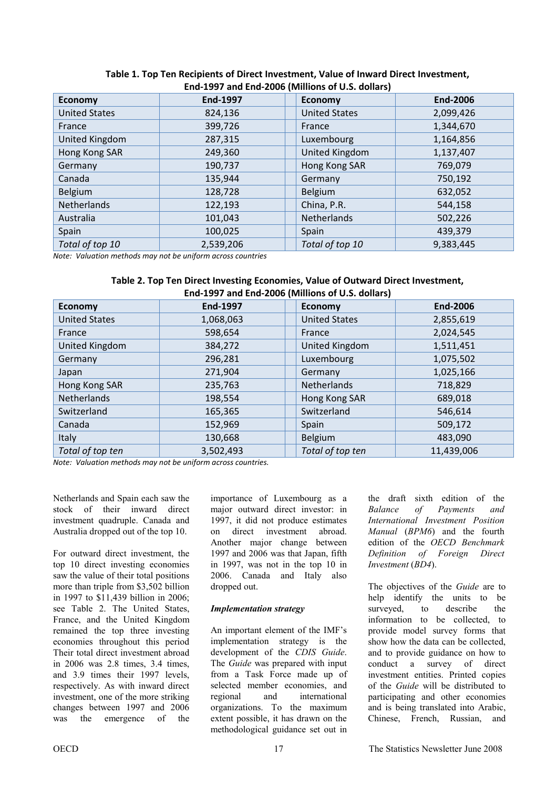| Linu-1997 and Linu-2000 (Willinois Of O.S. Gonars) |           |                      |                 |  |
|----------------------------------------------------|-----------|----------------------|-----------------|--|
| <b>Economy</b>                                     | End-1997  | <b>Economy</b>       | <b>End-2006</b> |  |
| <b>United States</b>                               | 824,136   | <b>United States</b> | 2,099,426       |  |
| France                                             | 399,726   | France               | 1,344,670       |  |
| United Kingdom                                     | 287,315   | Luxembourg           | 1,164,856       |  |
| Hong Kong SAR                                      | 249,360   | United Kingdom       | 1,137,407       |  |
| Germany                                            | 190,737   | Hong Kong SAR        | 769,079         |  |
| Canada                                             | 135,944   | Germany              | 750,192         |  |
| Belgium                                            | 128,728   | Belgium              | 632,052         |  |
| <b>Netherlands</b>                                 | 122,193   | China, P.R.          | 544,158         |  |
| Australia                                          | 101,043   | Netherlands          | 502,226         |  |
| Spain                                              | 100,025   | Spain                | 439,379         |  |
| Total of top 10                                    | 2,539,206 | Total of top 10      | 9,383,445       |  |

#### **Table 1. Top Ten Recipients of Direct Investment, Value of Inward Direct Investment, End-1997 and End-2006 (Millions of U.S. dollars)**

*Note: Valuation methods may not be uniform across countries*

| Table 2. Top Ten Direct Investing Economies, Value of Outward Direct Investment, |
|----------------------------------------------------------------------------------|
| End-1997 and End-2006 (Millions of U.S. dollars)                                 |

|                      |                 | $-0.001$ with $-1.00$ $-0.000$ (itimitations of with women of |                 |
|----------------------|-----------------|---------------------------------------------------------------|-----------------|
| <b>Economy</b>       | <b>End-1997</b> | <b>Economy</b>                                                | <b>End-2006</b> |
| <b>United States</b> | 1,068,063       | <b>United States</b>                                          | 2,855,619       |
| France               | 598,654         | France                                                        | 2,024,545       |
| United Kingdom       | 384,272         | <b>United Kingdom</b>                                         | 1,511,451       |
| Germany              | 296,281         | Luxembourg                                                    | 1,075,502       |
| Japan                | 271,904         | Germany                                                       | 1,025,166       |
| Hong Kong SAR        | 235,763         | Netherlands                                                   | 718,829         |
| <b>Netherlands</b>   | 198,554         | Hong Kong SAR                                                 | 689,018         |
| Switzerland          | 165,365         | Switzerland                                                   | 546,614         |
| Canada               | 152,969         | Spain                                                         | 509,172         |
| <b>Italy</b>         | 130,668         | Belgium                                                       | 483,090         |
| Total of top ten     | 3,502,493       | Total of top ten                                              | 11,439,006      |

*Note: Valuation methods may not be uniform across countries.* 

Netherlands and Spain each saw the stock of their inward direct investment quadruple. Canada and Australia dropped out of the top 10.

For outward direct investment, the top 10 direct investing economies saw the value of their total positions more than triple from \$3,502 billion in 1997 to \$11,439 billion in 2006; see Table 2. The United States, France, and the United Kingdom remained the top three investing economies throughout this period Their total direct investment abroad in 2006 was 2.8 times, 3.4 times, and 3.9 times their 1997 levels, respectively. As with inward direct investment, one of the more striking changes between 1997 and 2006 was the emergence of the

importance of Luxembourg as a major outward direct investor: in 1997, it did not produce estimates on direct investment abroad. Another major change between 1997 and 2006 was that Japan, fifth in 1997, was not in the top 10 in 2006. Canada and Italy also dropped out.

#### *Implementation strategy*

An important element of the IMF's implementation strategy is the development of the *CDIS Guide*. The *Guide* was prepared with input from a Task Force made up of selected member economies, and regional and international organizations. To the maximum extent possible, it has drawn on the methodological guidance set out in

the draft sixth edition of the *Balance of Payments and International Investment Position Manual* (*BPM6*) and the fourth edition of the *OECD Benchmark Definition of Foreign Direct Investment* (*BD4*).

The objectives of the *Guide* are to help identify the units to be surveyed, to describe the information to be collected, to provide model survey forms that show how the data can be collected, and to provide guidance on how to conduct a survey of direct investment entities. Printed copies of the *Guide* will be distributed to participating and other economies and is being translated into Arabic, Chinese, French, Russian, and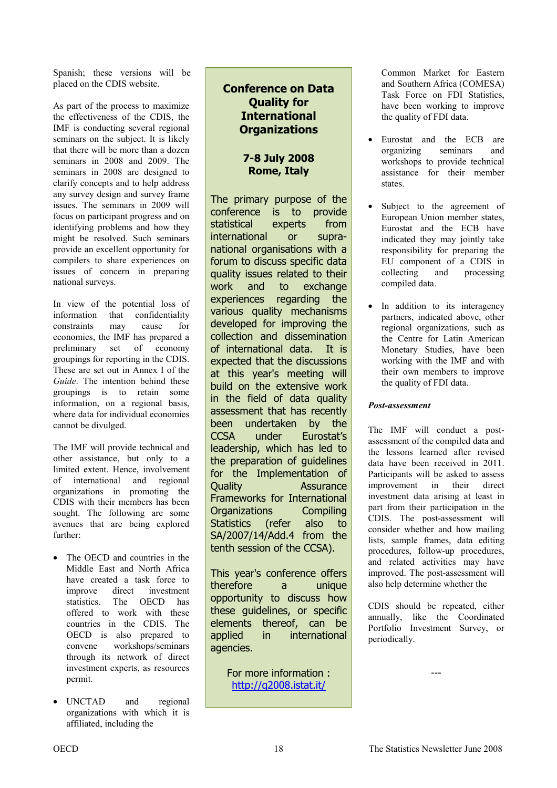Spanish; these versions will be placed on the CDIS website.

As part of the process to maximize the effectiveness of the CDIS, the IMF is conducting several regional seminars on the subject. It is likely that there will be more than a dozen seminars in 2008 and 2009. The seminars in 2008 are designed to clarify concepts and to help address any survey design and survey frame issues. The seminars in 2009 will focus on participant progress and on identifying problems and how they might be resolved. Such seminars provide an excellent opportunity for compilers to share experiences on issues of concern in preparing national surveys.

In view of the potential loss of information that confidentiality constraints may cause for economies, the IMF has prepared a preliminary set of economy groupings for reporting in the CDIS. These are set out in Annex I of the *Guide*. The intention behind these groupings is to retain some information, on a regional basis, where data for individual economies cannot be divulged.

The IMF will provide technical and other assistance, but only to a limited extent. Hence, involvement of international and regional organizations in promoting the CDIS with their members has been sought. The following are some avenues that are being explored further:

- The OECD and countries in the Middle East and North Africa have created a task force to improve direct investment statistics. The OECD has offered to work with these countries in the CDIS. The OECD is also prepared to convene workshops/seminars through its network of direct investment experts, as resources permit.
- UNCTAD and regional organizations with which it is affiliated, including the

### **Conference on Data Quality for International Organizations**

### **7-8 July 2008 Rome, Italy**

The primary purpose of the conference is to provide statistical experts from international or supranational organisations with a forum to discuss specific data quality issues related to their work and to exchange experiences regarding the various quality mechanisms developed for improving the collection and dissemination of international data. It is expected that the discussions at this year's meeting will build on the extensive work in the field of data quality assessment that has recently been undertaken by the CCSA under Eurostat's leadership, which has led to the preparation of guidelines for the Implementation of Quality Assurance Frameworks for International Organizations Compiling Statistics (refer also to SA/2007/14/Add.4 from the tenth session of the CCSA).

This year's conference offers therefore a unique opportunity to discuss how these guidelines, or specific elements thereof, can be applied in international agencies.

> For more information : [http://q2008.istat.it/](http://q2008.istat.it)

Common Market for Eastern and Southern Africa (COMESA) Task Force on FDI Statistics, have been working to improve the quality of FDI data.

- Eurostat and the ECB are organizing seminars and workshops to provide technical assistance for their member states.
- Subject to the agreement of European Union member states, Eurostat and the ECB have indicated they may jointly take responsibility for preparing the EU component of a CDIS in collecting and processing compiled data.
- In addition to its interagency partners, indicated above, other regional organizations, such as the Centre for Latin American Monetary Studies, have been working with the IMF and with their own members to improve the quality of FDI data.

### *Post-assessment*

The IMF will conduct a postassessment of the compiled data and the lessons learned after revised data have been received in 2011. Participants will be asked to assess improvement in their direct investment data arising at least in part from their participation in the CDIS. The post-assessment will consider whether and how mailing lists, sample frames, data editing procedures, follow-up procedures, and related activities may have improved. The post-assessment will also help determine whether the

CDIS should be repeated, either annually, like the Coordinated Portfolio Investment Survey, or periodically.

---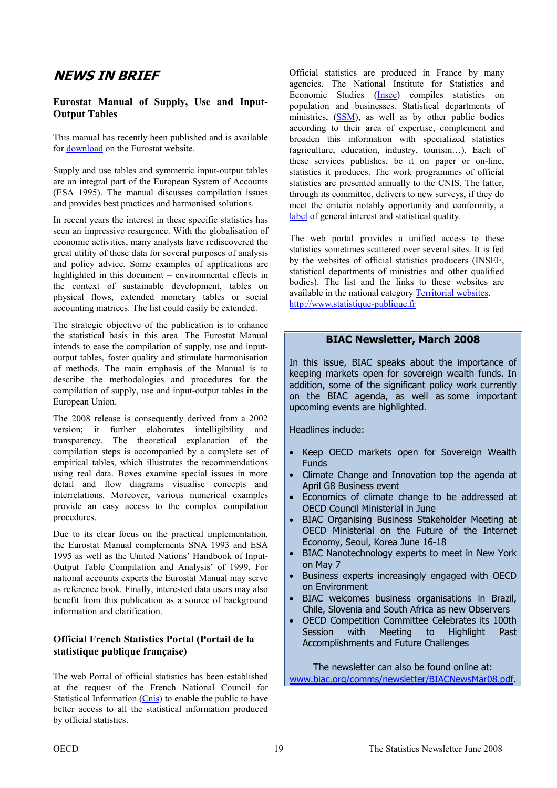# <span id="page-18-0"></span>**NEWS IN BRIEF**

#### **Eurostat Manual of Supply, Use and Input-Output Tables**

This manual has recently been published and is available for [download o](http://epp.eurostat.ec.europa.eu/portal/page?_pageid=1073,46587259&_dad=portal&_schema=PORTAL&p_product_code=KS-RA-07-013)n the Eurostat website.

Supply and use tables and symmetric input-output tables are an integral part of the European System of Accounts (ESA 1995). The manual discusses compilation issues and provides best practices and harmonised solutions.

In recent years the interest in these specific statistics has seen an impressive resurgence. With the globalisation of economic activities, many analysts have rediscovered the great utility of these data for several purposes of analysis and policy advice. Some examples of applications are highlighted in this document – environmental effects in the context of sustainable development, tables on physical flows, extended monetary tables or social accounting matrices. The list could easily be extended.

The strategic objective of the publication is to enhance the statistical basis in this area. The Eurostat Manual intends to ease the compilation of supply, use and inputoutput tables, foster quality and stimulate harmonisation of methods. The main emphasis of the Manual is to describe the methodologies and procedures for the compilation of supply, use and input-output tables in the European Union.

The 2008 release is consequently derived from a 2002 version; it further elaborates intelligibility and transparency. The theoretical explanation of the compilation steps is accompanied by a complete set of empirical tables, which illustrates the recommendations using real data. Boxes examine special issues in more detail and flow diagrams visualise concepts and interrelations. Moreover, various numerical examples provide an easy access to the complex compilation procedures.

Due to its clear focus on the practical implementation, the Eurostat Manual complements SNA 1993 and ESA 1995 as well as the United Nations' Handbook of Input-Output Table Compilation and Analysis' of 1999. For national accounts experts the Eurostat Manual may serve as reference book. Finally, interested data users may also benefit from this publication as a source of background information and clarification.

#### **Official French Statistics Portal (Portail de la statistique publique française)**

The web Portal of official statistics has been established at the request of the French National Council for Statistical Information [\(Cnis\)](http://www.cnis.fr/ind_english.htm) to enable the public to have better access to all the statistical information produced by official statistics.

Official statistics are produced in France by many agencies. The National Institute for Statistics and Economic Studies [\(Insee\)](http://www.insee.fr/en/) compiles statistics on population and businesses. Statistical departments of ministries, [\(SSM\),](http://www.insee.fr/fr/a_propos/stat_pub/repartition.htm#services) as well as by other public bodies according to their area of expertise, complement and broaden this information with specialized statistics (agriculture, education, industry, tourism…). Each of these services publishes, be it on paper or on-line, statistics it produces. The work programmes of official statistics are presented annually to the CNIS. The latter, through its committee, delivers to new surveys, if they do meet the criteria notably opportunity and conformity, a [label o](http://www.cnis.fr/cnis/deflabel.htm)f general interest and statistical quality.

The web portal provides a unified access to these statistics sometimes scattered over several sites. It is fed by the websites of official statistics producers (INSEE, statistical departments of ministries and other qualified bodies). The list and the links to these websites are available in the national category [Territorial websites.](http://www.statistique-publique.fr/index.php?php_action=MENU_sitesNationaux&page=1&IsInSession=1&KRIS_key=0&) <http://www.statistique-publique.fr>

#### **BIAC Newsletter, March 2008**

In this issue, BIAC speaks about the importance of keeping markets open for sovereign wealth funds. In addition, some of the significant policy work currently on the BIAC agenda, as well as some important upcoming events are highlighted.

Headlines include:

- Keep OECD markets open for Sovereign Wealth **Funds**
- Climate Change and Innovation top the agenda at April G8 Business event
- Economics of climate change to be addressed at OECD Council Ministerial in June
- BIAC Organising Business Stakeholder Meeting at OECD Ministerial on the Future of the Internet Economy, Seoul, Korea June 16-18
- BIAC Nanotechnology experts to meet in New York on May 7
- Business experts increasingly engaged with OECD on Environment
- BIAC welcomes business organisations in Brazil, Chile, Slovenia and South Africa as new Observers
- OECD Competition Committee Celebrates its 100th Session with Meeting to Highlight Accomplishments and Future Challenges

The newsletter can also be found online at: <www.biac.org/comms/newsletter/BIACNewsMar08.pdf>.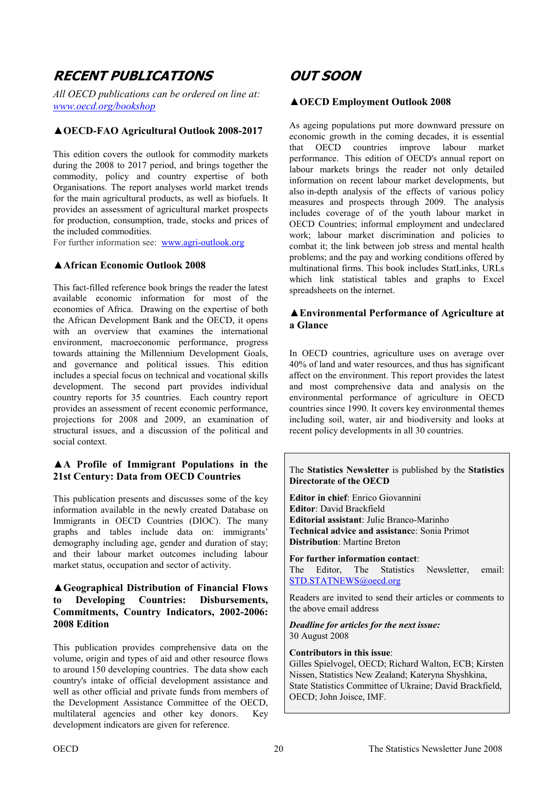# <span id="page-19-0"></span>**RECENT PUBLICATIONS**

*All OECD publications can be ordered on line at: <www.oecd.org/bookshop>*

### **▲OECD-FAO Agricultural Outlook 2008-2017**

This edition covers the outlook for commodity markets during the 2008 to 2017 period, and brings together the commodity, policy and country expertise of both Organisations. The report analyses world market trends for the main agricultural products, as well as biofuels. It provides an assessment of agricultural market prospects for production, consumption, trade, stocks and prices of the included commodities.

For further information see:<www.agri-outlook.org>

#### **▲African Economic Outlook 2008**

This fact-filled reference book brings the reader the latest available economic information for most of the economies of Africa. Drawing on the expertise of both the African Development Bank and the OECD, it opens with an overview that examines the international environment, macroeconomic performance, progress towards attaining the Millennium Development Goals, and governance and political issues. This edition includes a special focus on technical and vocational skills development. The second part provides individual country reports for 35 countries. Each country report provides an assessment of recent economic performance, projections for 2008 and 2009, an examination of structural issues, and a discussion of the political and social context.

#### **▲A Profile of Immigrant Populations in the 21st Century: Data from OECD Countries**

This publication presents and discusses some of the key information available in the newly created Database on Immigrants in OECD Countries (DIOC). The many graphs and tables include data on: immigrants' demography including age, gender and duration of stay; and their labour market outcomes including labour market status, occupation and sector of activity.

#### **▲Geographical Distribution of Financial Flows to Developing Countries: Disbursements, Commitments, Country Indicators, 2002-2006: 2008 Edition**

This publication provides comprehensive data on the volume, origin and types of aid and other resource flows to around 150 developing countries. The data show each country's intake of official development assistance and well as other official and private funds from members of the Development Assistance Committee of the OECD, multilateral agencies and other key donors. Key development indicators are given for reference.

# **OUT SOON**

#### **▲OECD Employment Outlook 2008**

As ageing populations put more downward pressure on economic growth in the coming decades, it is essential that OECD countries improve labour market performance. This edition of OECD's annual report on labour markets brings the reader not only detailed information on recent labour market developments, but also in-depth analysis of the effects of various policy measures and prospects through 2009. The analysis includes coverage of of the youth labour market in OECD Countries; informal employment and undeclared work; labour market discrimination and policies to combat it; the link between job stress and mental health problems; and the pay and working conditions offered by multinational firms. This book includes StatLinks, URLs which link statistical tables and graphs to Excel spreadsheets on the internet.

#### **▲Environmental Performance of Agriculture at a Glance**

In OECD countries, agriculture uses on average over 40% of land and water resources, and thus has significant affect on the environment. This report provides the latest and most comprehensive data and analysis on the environmental performance of agriculture in OECD countries since 1990. It covers key environmental themes including soil, water, air and biodiversity and looks at recent policy developments in all 30 countries.

#### The **Statistics Newsletter** is published by the **Statistics Directorate of the OECD**

**Editor in chief**: Enrico Giovannini **Editor**: David Brackfield **Editorial assistant**: Julie Branco-Marinho **Technical advice and assistanc**e: Sonia Primot **Distribution**: Martine Breton

**For further information contact**: The Editor, The Statistics Newsletter email: [STD.STATNEWS@oecd.org](mailto:std.statnews@oecd.org) 

Readers are invited to send their articles or comments to the above email address

#### *Deadline for articles for the next issue:*  30 August 2008

#### **Contributors in this issue**:

Gilles Spielvogel, OECD; Richard Walton, ECB; Kirsten Nissen, Statistics New Zealand; Kateryna Shyshkina, State Statistics Committee of Ukraine; David Brackfield, OECD; John Joisce, IMF.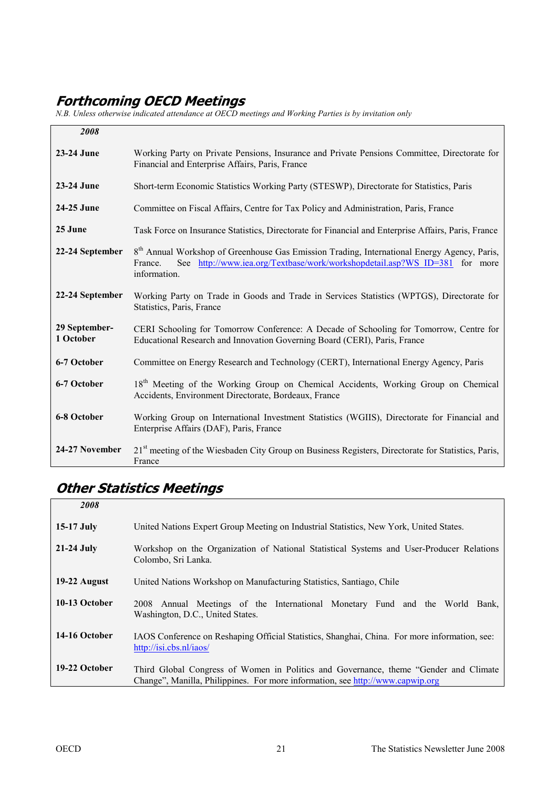# **Forthcoming OECD Meetings**

*N.B. Unless otherwise indicated attendance at OECD meetings and Working Parties is by invitation only* 

| 2008                       |                                                                                                                                                                                                                  |
|----------------------------|------------------------------------------------------------------------------------------------------------------------------------------------------------------------------------------------------------------|
| 23-24 June                 | Working Party on Private Pensions, Insurance and Private Pensions Committee, Directorate for<br>Financial and Enterprise Affairs, Paris, France                                                                  |
| 23-24 June                 | Short-term Economic Statistics Working Party (STESWP), Directorate for Statistics, Paris                                                                                                                         |
| 24-25 June                 | Committee on Fiscal Affairs, Centre for Tax Policy and Administration, Paris, France                                                                                                                             |
| 25 June                    | Task Force on Insurance Statistics, Directorate for Financial and Enterprise Affairs, Paris, France                                                                                                              |
| 22-24 September            | 8 <sup>th</sup> Annual Workshop of Greenhouse Gas Emission Trading, International Energy Agency, Paris,<br>See http://www.iea.org/Textbase/work/workshopdetail.asp?WS ID=381 for more<br>France.<br>information. |
| 22-24 September            | Working Party on Trade in Goods and Trade in Services Statistics (WPTGS), Directorate for<br>Statistics, Paris, France                                                                                           |
| 29 September-<br>1 October | CERI Schooling for Tomorrow Conference: A Decade of Schooling for Tomorrow, Centre for<br>Educational Research and Innovation Governing Board (CERI), Paris, France                                              |
| 6-7 October                | Committee on Energy Research and Technology (CERT), International Energy Agency, Paris                                                                                                                           |
| 6-7 October                | 18 <sup>th</sup> Meeting of the Working Group on Chemical Accidents, Working Group on Chemical<br>Accidents, Environment Directorate, Bordeaux, France                                                           |
| 6-8 October                | Working Group on International Investment Statistics (WGIIS), Directorate for Financial and<br>Enterprise Affairs (DAF), Paris, France                                                                           |
| 24-27 November             | 21 <sup>st</sup> meeting of the Wiesbaden City Group on Business Registers, Directorate for Statistics, Paris,<br>France                                                                                         |

# **Other Statistics Meetings**

| 2008          |                                                                                                                                                                         |
|---------------|-------------------------------------------------------------------------------------------------------------------------------------------------------------------------|
| $15-17$ July  | United Nations Expert Group Meeting on Industrial Statistics, New York, United States.                                                                                  |
| $21-24$ July  | Workshop on the Organization of National Statistical Systems and User-Producer Relations<br>Colombo, Sri Lanka.                                                         |
| 19-22 August  | United Nations Workshop on Manufacturing Statistics, Santiago, Chile                                                                                                    |
| 10-13 October | 2008 Annual Meetings of the International Monetary Fund and the World Bank,<br>Washington, D.C., United States.                                                         |
| 14-16 October | IAOS Conference on Reshaping Official Statistics, Shanghai, China. For more information, see:<br>http://isi.cbs.nl/iaos/                                                |
| 19-22 October | Third Global Congress of Women in Politics and Governance, theme "Gender and Climate"<br>Change", Manilla, Philippines. For more information, see http://www.capwip.org |